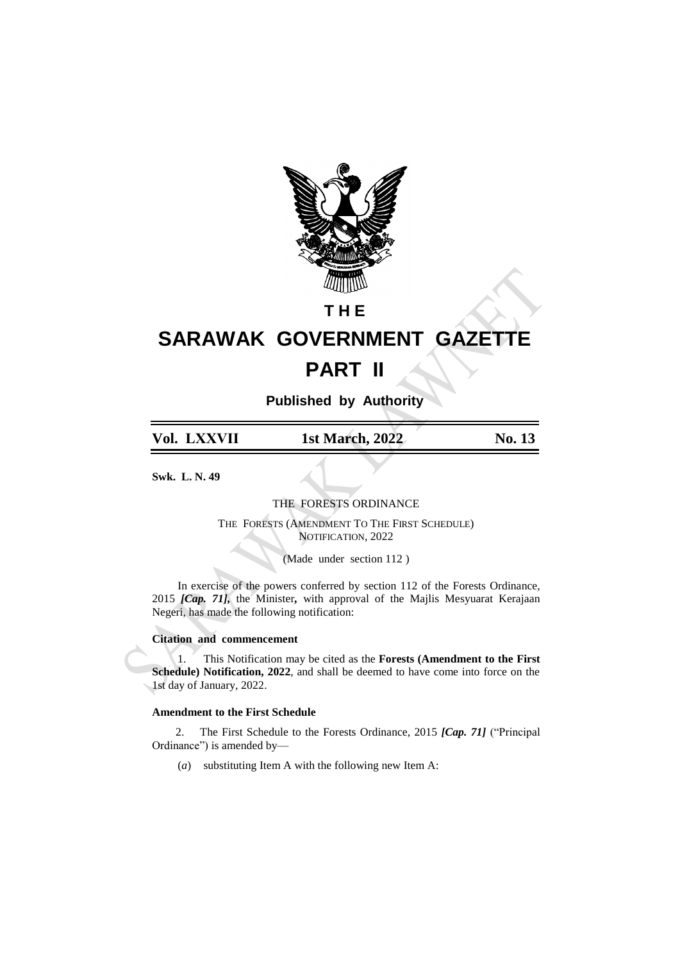

## **T H E**

## **SARAWAK GOVERNMENT GAZETTE PART II**

**Published by Authority**

**Vol. LXXVII 1st March, 2022 No. 13**

**Swk. L. N. 49**

THE FORESTS ORDINANCE

THE FORESTS (AMENDMENT TO THE FIRST SCHEDULE) NOTIFICATION, 2022

(Made under section 112 )

In exercise of the powers conferred by section 112 of the Forests Ordinance, 2015 *[Cap. 71],* the Minister*,* with approval of the Majlis Mesyuarat Kerajaan Negeri, has made the following notification:

## **Citation and commencement**

1. This Notification may be cited as the **Forests (Amendment to the First Schedule) Notification, 2022**, and shall be deemed to have come into force on the 1st day of January, 2022.

## **Amendment to the First Schedule**

2. The First Schedule to the Forests Ordinance, 2015 *[Cap. 71]* ("Principal Ordinance") is amended by—

(*a*) substituting Item A with the following new Item A: